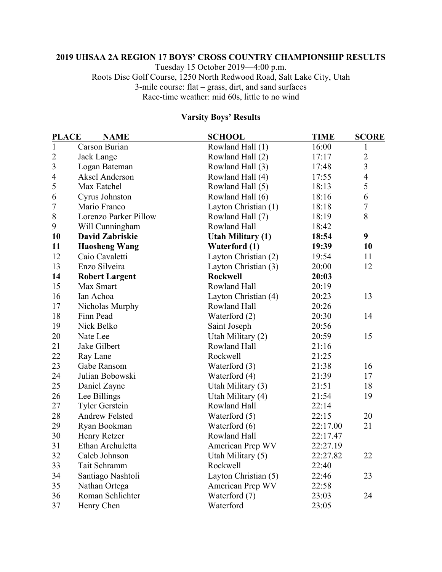## **UHSAA 2A REGION 17 BOYS' CROSS COUNTRY CHAMPIONSHIP RESULTS**

Tuesday 15 October 2019—4:00 p.m. Roots Disc Golf Course, 1250 North Redwood Road, Salt Lake City, Utah 3-mile course: flat – grass, dirt, and sand surfaces Race-time weather: mid 60s, little to no wind

# **Varsity Boys' Results**

| <b>PLACE</b><br><b>NAME</b> |                        | <b>SCHOOL</b>            | <b>TIME</b> | <b>SCORE</b>   |  |
|-----------------------------|------------------------|--------------------------|-------------|----------------|--|
| $\mathbf{1}$                | Carson Burian          | Rowland Hall (1)         | 16:00       | $\mathbf{1}$   |  |
| $\overline{2}$              | Jack Lange             | Rowland Hall (2)         | 17:17       | $\overline{2}$ |  |
| $\overline{3}$              | Logan Bateman          | Rowland Hall (3)         | 17:48       | $\overline{3}$ |  |
| $\overline{4}$              | Aksel Anderson         | Rowland Hall (4)         | 17:55       | $\overline{4}$ |  |
| 5                           | Max Eatchel            | Rowland Hall (5)         | 18:13       | 5              |  |
| 6                           | Cyrus Johnston         | Rowland Hall (6)         | 18:16       | 6              |  |
| $\overline{7}$              | Mario Franco           | Layton Christian (1)     | 18:18       | $\overline{7}$ |  |
| 8                           | Lorenzo Parker Pillow  | Rowland Hall (7)         | 18:19       | 8              |  |
| 9                           | Will Cunningham        | Rowland Hall             | 18:42       |                |  |
| 10                          | <b>David Zabriskie</b> | <b>Utah Military (1)</b> | 18:54       | 9              |  |
| 11                          | <b>Haosheng Wang</b>   | Waterford (1)            | 19:39       | 10             |  |
| 12                          | Caio Cavaletti         | Layton Christian (2)     | 19:54       | 11             |  |
| 13                          | Enzo Silveira          | Layton Christian (3)     | 20:00       | 12             |  |
| 14                          | <b>Robert Largent</b>  | <b>Rockwell</b>          | 20:03       |                |  |
| 15                          | Max Smart              | Rowland Hall             | 20:19       |                |  |
| 16                          | Ian Achoa              | Layton Christian (4)     | 20:23       | 13             |  |
| 17                          | Nicholas Murphy        | Rowland Hall             | 20:26       |                |  |
| 18                          | Finn Pead              | Waterford (2)            | 20:30       | 14             |  |
| 19                          | Nick Belko             | Saint Joseph             | 20:56       |                |  |
| 20                          | Nate Lee               | Utah Military (2)        | 20:59       | 15             |  |
| 21                          | Jake Gilbert           | Rowland Hall             | 21:16       |                |  |
| 22                          | Ray Lane               | Rockwell                 | 21:25       |                |  |
| 23                          | Gabe Ransom            | Waterford (3)            | 21:38       | 16             |  |
| 24                          | Julian Bobowski        | Waterford (4)            | 21:39       | 17             |  |
| 25                          | Daniel Zayne           | Utah Military (3)        | 21:51       | 18             |  |
| 26                          | Lee Billings           | Utah Military (4)        | 21:54       | 19             |  |
| 27                          | <b>Tyler Gerstein</b>  | Rowland Hall             | 22:14       |                |  |
| 28                          | <b>Andrew Felsted</b>  | Waterford (5)            | 22:15       | 20             |  |
| 29                          | Ryan Bookman           | Waterford (6)            | 22:17.00    | 21             |  |
| 30                          | Henry Retzer           | Rowland Hall             | 22:17.47    |                |  |
| 31                          | Ethan Archuletta       | American Prep WV         | 22:27.19    |                |  |
| 32                          | Caleb Johnson          | Utah Military (5)        | 22:27.82    | 22             |  |
| 33                          | Tait Schramm           | Rockwell                 | 22:40       |                |  |
| 34                          | Santiago Nashtoli      | Layton Christian (5)     | 22:46       | 23             |  |
| 35                          | Nathan Ortega          | American Prep WV         | 22:58       |                |  |
| 36                          | Roman Schlichter       | Waterford (7)            | 23:03       | 24             |  |
| 37                          | Henry Chen             | Waterford                | 23:05       |                |  |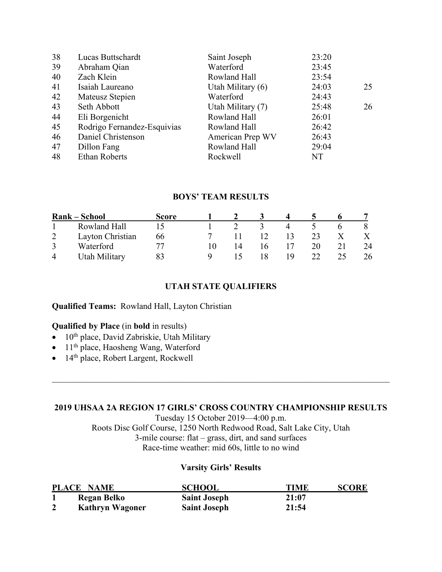| 38 | Lucas Buttschardt           | Saint Joseph        | 23:20 |    |
|----|-----------------------------|---------------------|-------|----|
| 39 | Abraham Qian                | Waterford           | 23:45 |    |
| 40 | Zach Klein                  | Rowland Hall        | 23:54 |    |
| 41 | Isaiah Laureano             | Utah Military $(6)$ | 24:03 | 25 |
| 42 | Mateusz Stepien             | Waterford           | 24:43 |    |
| 43 | Seth Abbott                 | Utah Military (7)   | 25:48 | 26 |
| 44 | Eli Borgenicht              | Rowland Hall        | 26:01 |    |
| 45 | Rodrigo Fernandez-Esquivias | Rowland Hall        | 26:42 |    |
| 46 | Daniel Christenson          | American Prep WV    | 26:43 |    |
| 47 | Dillon Fang                 | Rowland Hall        | 29:04 |    |
| 48 | <b>Ethan Roberts</b>        | Rockwell            | NT    |    |
|    |                             |                     |       |    |

## **BOYS' TEAM RESULTS**

| Rank – School |                  | Score |  |    |    |    |    |
|---------------|------------------|-------|--|----|----|----|----|
|               | Rowland Hall     |       |  |    |    |    |    |
|               | Layton Christian | 66    |  | 12 | 13 | 23 |    |
|               | Waterford        |       |  | Iб |    | 20 | 24 |
|               | Utah Military    |       |  |    | 19 | つつ | 26 |

## **UTAH STATE QUALIFIERS**

## **Qualified Teams:** Rowland Hall, Layton Christian

## **Qualified by Place** (in **bold** in results)

- $\bullet$  10<sup>th</sup> place, David Zabriskie, Utah Military
- 11<sup>th</sup> place, Haosheng Wang, Waterford
- $\bullet$  14<sup>th</sup> place, Robert Largent, Rockwell

#### **2019 UHSAA 2A REGION 17 GIRLS' CROSS COUNTRY CHAMPIONSHIP RESULTS**

Tuesday 15 October 2019—4:00 p.m. Roots Disc Golf Course, 1250 North Redwood Road, Salt Lake City, Utah 3-mile course: flat – grass, dirt, and sand surfaces Race-time weather: mid 60s, little to no wind

#### **Varsity Girls' Results**

| <b>PLACE NAME</b>      | <b>SCHOOL</b>       | TIME  | <b>SCORE</b> |
|------------------------|---------------------|-------|--------------|
| Regan Belko            | <b>Saint Joseph</b> | 21:07 |              |
| <b>Kathryn Wagoner</b> | <b>Saint Joseph</b> | 21:54 |              |